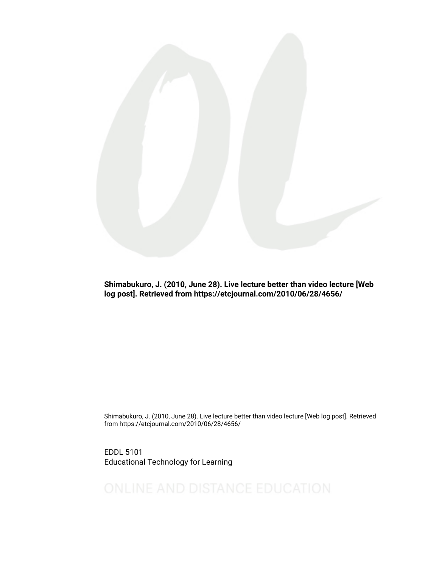

Shimabukuro, J. (2010, June 28). Live lecture better than video lecture [Web log post]. Retrieved from https://etcjournal.com/2010/06/28/4656/

Shimabukuro, J. (2010, June 28). Live lecture better than video lecture [Web log post]. Retrieved from https://etcjournal.com/2010/06/28/4656/

EDDL 5101 Educational Technology for Learning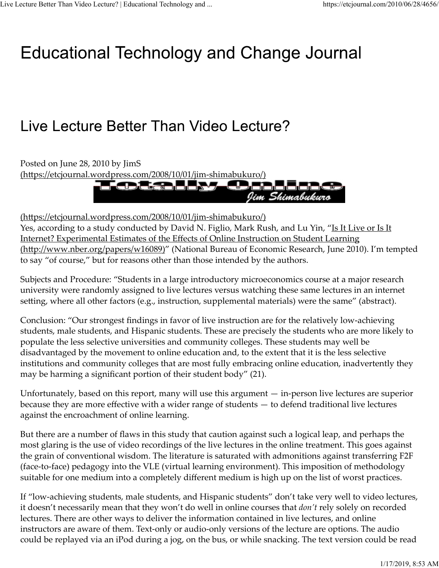## Educational Technology and Change Journal

## Live Lecture Better Than Video Lecture?

Posted on June 28, 2010 by JimS (https://etcjournal.wordpress.com/2008/10/01/jim-shimabukuro/) Jim Shimabukuro

(https://etcjournal.wordpress.com/2008/10/01/jim‐shimabukuro/)

Yes, according to a study conducted by David N. Figlio, Mark Rush, and Lu Yin, "Is It Live or Is It Internet? Experimental Estimates of the Effects of Online Instruction on Student Learning (http://www.nber.org/papers/w16089)" (National Bureau of Economic Research, June 2010). I'm tempted to say "of course," but for reasons other than those intended by the authors.

Subjects and Procedure: "Students in a large introductory microeconomics course at a major research university were randomly assigned to live lectures versus watching these same lectures in an internet setting, where all other factors (e.g., instruction, supplemental materials) were the same" (abstract).

Conclusion: "Our strongest findings in favor of live instruction are for the relatively low‐achieving students, male students, and Hispanic students. These are precisely the students who are more likely to populate the less selective universities and community colleges. These students may well be disadvantaged by the movement to online education and, to the extent that it is the less selective institutions and community colleges that are most fully embracing online education, inadvertently they may be harming a significant portion of their student body" (21).

Unfortunately, based on this report, many will use this argument — in‐person live lectures are superior because they are more effective with a wider range of students — to defend traditional live lectures against the encroachment of online learning.

But there are a number of flaws in this study that caution against such a logical leap, and perhaps the most glaring is the use of video recordings of the live lectures in the online treatment. This goes against the grain of conventional wisdom. The literature is saturated with admonitions against transferring F2F (face‐to‐face) pedagogy into the VLE (virtual learning environment). This imposition of methodology suitable for one medium into a completely different medium is high up on the list of worst practices.

If "low-achieving students, male students, and Hispanic students" don't take very well to video lectures, it doesn't necessarily mean that they won't do well in online courses that *don't* rely solely on recorded lectures. There are other ways to deliver the information contained in live lectures, and online instructors are aware of them. Text‐only or audio‐only versions of the lecture are options. The audio could be replayed via an iPod during a jog, on the bus, or while snacking. The text version could be read